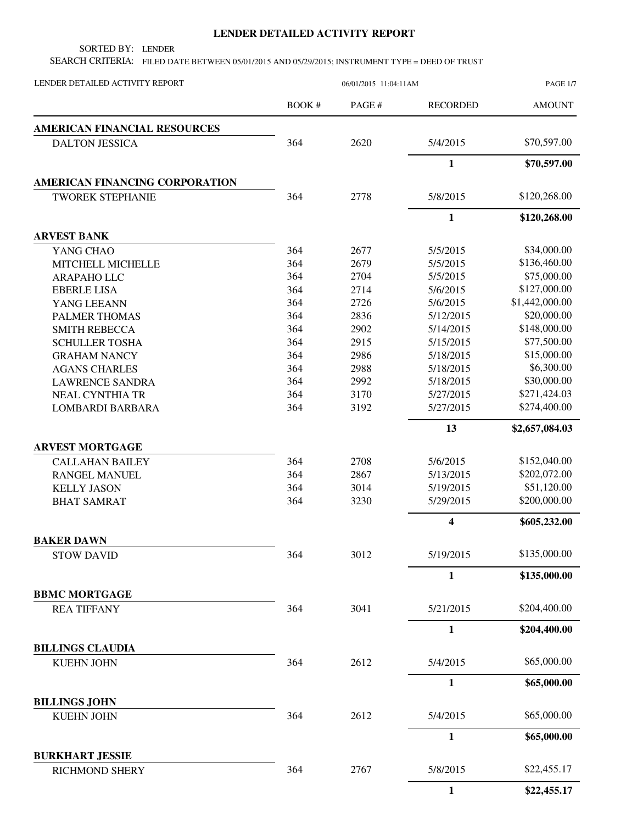## **LENDER DETAILED ACTIVITY REPORT**

SORTED BY: LENDER

SEARCH CRITERIA: FILED DATE BETWEEN 05/01/2015 AND 05/29/2015; INSTRUMENT TYPE = DEED OF TRUST

| BOOK #<br>PAGE #<br><b>RECORDED</b><br><b>AMOUNT</b><br><b>AMERICAN FINANCIAL RESOURCES</b><br>\$70,597.00<br>2620<br>364<br>5/4/2015<br><b>DALTON JESSICA</b><br>$\mathbf{1}$<br>\$70,597.00<br>AMERICAN FINANCING CORPORATION<br>\$120,268.00<br>2778<br>5/8/2015<br>364<br><b>TWOREK STEPHANIE</b><br>$\mathbf{1}$<br>\$120,268.00<br><b>ARVEST BANK</b><br>364<br>2677<br>\$34,000.00<br>5/5/2015<br>YANG CHAO<br>\$136,460.00<br>364<br>2679<br>5/5/2015<br>MITCHELL MICHELLE<br>364<br>\$75,000.00<br>2704<br>5/5/2015<br>ARAPAHO LLC<br>\$127,000.00<br>364<br>2714<br>5/6/2015<br><b>EBERLE LISA</b><br>\$1,442,000.00<br>364<br>2726<br>5/6/2015<br>YANG LEEANN<br>\$20,000.00<br>364<br>PALMER THOMAS<br>2836<br>5/12/2015<br>364<br>\$148,000.00<br>2902<br>5/14/2015<br><b>SMITH REBECCA</b><br>\$77,500.00<br>364<br>2915<br>5/15/2015<br><b>SCHULLER TOSHA</b><br>\$15,000.00<br>364<br>2986<br>5/18/2015<br><b>GRAHAM NANCY</b><br>\$6,300.00<br>364<br>2988<br>5/18/2015<br><b>AGANS CHARLES</b><br>364<br>\$30,000.00<br>2992<br>5/18/2015<br><b>LAWRENCE SANDRA</b><br>364<br>3170<br>\$271,424.03<br>5/27/2015<br><b>NEAL CYNTHIA TR</b><br>364<br>\$274,400.00<br>3192<br>5/27/2015<br><b>LOMBARDI BARBARA</b><br>13<br>\$2,657,084.03<br><b>ARVEST MORTGAGE</b><br>\$152,040.00<br>364<br>2708<br>5/6/2015<br><b>CALLAHAN BAILEY</b><br>\$202,072.00<br>364<br>2867<br>5/13/2015<br>RANGEL MANUEL<br>\$51,120.00<br>364<br>3014<br><b>KELLY JASON</b><br>5/19/2015<br>\$200,000.00<br>364<br>3230<br>5/29/2015<br><b>BHAT SAMRAT</b><br>$\overline{\mathbf{4}}$<br>\$605,232.00<br><b>BAKER DAWN</b><br>\$135,000.00<br>3012<br>364<br>5/19/2015<br><b>STOW DAVID</b><br>$\mathbf{1}$<br>\$135,000.00<br><b>BBMC MORTGAGE</b><br>\$204,400.00<br>364<br>3041<br>5/21/2015<br><b>REA TIFFANY</b><br>$\mathbf{1}$<br>\$204,400.00<br><b>BILLINGS CLAUDIA</b><br>\$65,000.00<br>364<br>2612<br>5/4/2015<br><b>KUEHN JOHN</b><br>$\mathbf{1}$<br>\$65,000.00<br><b>BILLINGS JOHN</b><br>\$65,000.00<br>364<br>2612<br>5/4/2015<br><b>KUEHN JOHN</b><br>$\mathbf{1}$<br>\$65,000.00<br><b>BURKHART JESSIE</b><br>364<br>2767<br>5/8/2015<br>\$22,455.17<br><b>RICHMOND SHERY</b><br>1<br>\$22,455.17 | LENDER DETAILED ACTIVITY REPORT | 06/01/2015 11:04:11AM |  |  | <b>PAGE 1/7</b> |
|----------------------------------------------------------------------------------------------------------------------------------------------------------------------------------------------------------------------------------------------------------------------------------------------------------------------------------------------------------------------------------------------------------------------------------------------------------------------------------------------------------------------------------------------------------------------------------------------------------------------------------------------------------------------------------------------------------------------------------------------------------------------------------------------------------------------------------------------------------------------------------------------------------------------------------------------------------------------------------------------------------------------------------------------------------------------------------------------------------------------------------------------------------------------------------------------------------------------------------------------------------------------------------------------------------------------------------------------------------------------------------------------------------------------------------------------------------------------------------------------------------------------------------------------------------------------------------------------------------------------------------------------------------------------------------------------------------------------------------------------------------------------------------------------------------------------------------------------------------------------------------------------------------------------------------------------------------------------------------------------------------------------------------------------------------------------------------------------------------------------------------------------------------------------------------------------------------------------|---------------------------------|-----------------------|--|--|-----------------|
|                                                                                                                                                                                                                                                                                                                                                                                                                                                                                                                                                                                                                                                                                                                                                                                                                                                                                                                                                                                                                                                                                                                                                                                                                                                                                                                                                                                                                                                                                                                                                                                                                                                                                                                                                                                                                                                                                                                                                                                                                                                                                                                                                                                                                      |                                 |                       |  |  |                 |
|                                                                                                                                                                                                                                                                                                                                                                                                                                                                                                                                                                                                                                                                                                                                                                                                                                                                                                                                                                                                                                                                                                                                                                                                                                                                                                                                                                                                                                                                                                                                                                                                                                                                                                                                                                                                                                                                                                                                                                                                                                                                                                                                                                                                                      |                                 |                       |  |  |                 |
|                                                                                                                                                                                                                                                                                                                                                                                                                                                                                                                                                                                                                                                                                                                                                                                                                                                                                                                                                                                                                                                                                                                                                                                                                                                                                                                                                                                                                                                                                                                                                                                                                                                                                                                                                                                                                                                                                                                                                                                                                                                                                                                                                                                                                      |                                 |                       |  |  |                 |
|                                                                                                                                                                                                                                                                                                                                                                                                                                                                                                                                                                                                                                                                                                                                                                                                                                                                                                                                                                                                                                                                                                                                                                                                                                                                                                                                                                                                                                                                                                                                                                                                                                                                                                                                                                                                                                                                                                                                                                                                                                                                                                                                                                                                                      |                                 |                       |  |  |                 |
|                                                                                                                                                                                                                                                                                                                                                                                                                                                                                                                                                                                                                                                                                                                                                                                                                                                                                                                                                                                                                                                                                                                                                                                                                                                                                                                                                                                                                                                                                                                                                                                                                                                                                                                                                                                                                                                                                                                                                                                                                                                                                                                                                                                                                      |                                 |                       |  |  |                 |
|                                                                                                                                                                                                                                                                                                                                                                                                                                                                                                                                                                                                                                                                                                                                                                                                                                                                                                                                                                                                                                                                                                                                                                                                                                                                                                                                                                                                                                                                                                                                                                                                                                                                                                                                                                                                                                                                                                                                                                                                                                                                                                                                                                                                                      |                                 |                       |  |  |                 |
|                                                                                                                                                                                                                                                                                                                                                                                                                                                                                                                                                                                                                                                                                                                                                                                                                                                                                                                                                                                                                                                                                                                                                                                                                                                                                                                                                                                                                                                                                                                                                                                                                                                                                                                                                                                                                                                                                                                                                                                                                                                                                                                                                                                                                      |                                 |                       |  |  |                 |
|                                                                                                                                                                                                                                                                                                                                                                                                                                                                                                                                                                                                                                                                                                                                                                                                                                                                                                                                                                                                                                                                                                                                                                                                                                                                                                                                                                                                                                                                                                                                                                                                                                                                                                                                                                                                                                                                                                                                                                                                                                                                                                                                                                                                                      |                                 |                       |  |  |                 |
|                                                                                                                                                                                                                                                                                                                                                                                                                                                                                                                                                                                                                                                                                                                                                                                                                                                                                                                                                                                                                                                                                                                                                                                                                                                                                                                                                                                                                                                                                                                                                                                                                                                                                                                                                                                                                                                                                                                                                                                                                                                                                                                                                                                                                      |                                 |                       |  |  |                 |
|                                                                                                                                                                                                                                                                                                                                                                                                                                                                                                                                                                                                                                                                                                                                                                                                                                                                                                                                                                                                                                                                                                                                                                                                                                                                                                                                                                                                                                                                                                                                                                                                                                                                                                                                                                                                                                                                                                                                                                                                                                                                                                                                                                                                                      |                                 |                       |  |  |                 |
|                                                                                                                                                                                                                                                                                                                                                                                                                                                                                                                                                                                                                                                                                                                                                                                                                                                                                                                                                                                                                                                                                                                                                                                                                                                                                                                                                                                                                                                                                                                                                                                                                                                                                                                                                                                                                                                                                                                                                                                                                                                                                                                                                                                                                      |                                 |                       |  |  |                 |
|                                                                                                                                                                                                                                                                                                                                                                                                                                                                                                                                                                                                                                                                                                                                                                                                                                                                                                                                                                                                                                                                                                                                                                                                                                                                                                                                                                                                                                                                                                                                                                                                                                                                                                                                                                                                                                                                                                                                                                                                                                                                                                                                                                                                                      |                                 |                       |  |  |                 |
|                                                                                                                                                                                                                                                                                                                                                                                                                                                                                                                                                                                                                                                                                                                                                                                                                                                                                                                                                                                                                                                                                                                                                                                                                                                                                                                                                                                                                                                                                                                                                                                                                                                                                                                                                                                                                                                                                                                                                                                                                                                                                                                                                                                                                      |                                 |                       |  |  |                 |
|                                                                                                                                                                                                                                                                                                                                                                                                                                                                                                                                                                                                                                                                                                                                                                                                                                                                                                                                                                                                                                                                                                                                                                                                                                                                                                                                                                                                                                                                                                                                                                                                                                                                                                                                                                                                                                                                                                                                                                                                                                                                                                                                                                                                                      |                                 |                       |  |  |                 |
|                                                                                                                                                                                                                                                                                                                                                                                                                                                                                                                                                                                                                                                                                                                                                                                                                                                                                                                                                                                                                                                                                                                                                                                                                                                                                                                                                                                                                                                                                                                                                                                                                                                                                                                                                                                                                                                                                                                                                                                                                                                                                                                                                                                                                      |                                 |                       |  |  |                 |
|                                                                                                                                                                                                                                                                                                                                                                                                                                                                                                                                                                                                                                                                                                                                                                                                                                                                                                                                                                                                                                                                                                                                                                                                                                                                                                                                                                                                                                                                                                                                                                                                                                                                                                                                                                                                                                                                                                                                                                                                                                                                                                                                                                                                                      |                                 |                       |  |  |                 |
|                                                                                                                                                                                                                                                                                                                                                                                                                                                                                                                                                                                                                                                                                                                                                                                                                                                                                                                                                                                                                                                                                                                                                                                                                                                                                                                                                                                                                                                                                                                                                                                                                                                                                                                                                                                                                                                                                                                                                                                                                                                                                                                                                                                                                      |                                 |                       |  |  |                 |
|                                                                                                                                                                                                                                                                                                                                                                                                                                                                                                                                                                                                                                                                                                                                                                                                                                                                                                                                                                                                                                                                                                                                                                                                                                                                                                                                                                                                                                                                                                                                                                                                                                                                                                                                                                                                                                                                                                                                                                                                                                                                                                                                                                                                                      |                                 |                       |  |  |                 |
|                                                                                                                                                                                                                                                                                                                                                                                                                                                                                                                                                                                                                                                                                                                                                                                                                                                                                                                                                                                                                                                                                                                                                                                                                                                                                                                                                                                                                                                                                                                                                                                                                                                                                                                                                                                                                                                                                                                                                                                                                                                                                                                                                                                                                      |                                 |                       |  |  |                 |
|                                                                                                                                                                                                                                                                                                                                                                                                                                                                                                                                                                                                                                                                                                                                                                                                                                                                                                                                                                                                                                                                                                                                                                                                                                                                                                                                                                                                                                                                                                                                                                                                                                                                                                                                                                                                                                                                                                                                                                                                                                                                                                                                                                                                                      |                                 |                       |  |  |                 |
|                                                                                                                                                                                                                                                                                                                                                                                                                                                                                                                                                                                                                                                                                                                                                                                                                                                                                                                                                                                                                                                                                                                                                                                                                                                                                                                                                                                                                                                                                                                                                                                                                                                                                                                                                                                                                                                                                                                                                                                                                                                                                                                                                                                                                      |                                 |                       |  |  |                 |
|                                                                                                                                                                                                                                                                                                                                                                                                                                                                                                                                                                                                                                                                                                                                                                                                                                                                                                                                                                                                                                                                                                                                                                                                                                                                                                                                                                                                                                                                                                                                                                                                                                                                                                                                                                                                                                                                                                                                                                                                                                                                                                                                                                                                                      |                                 |                       |  |  |                 |
|                                                                                                                                                                                                                                                                                                                                                                                                                                                                                                                                                                                                                                                                                                                                                                                                                                                                                                                                                                                                                                                                                                                                                                                                                                                                                                                                                                                                                                                                                                                                                                                                                                                                                                                                                                                                                                                                                                                                                                                                                                                                                                                                                                                                                      |                                 |                       |  |  |                 |
|                                                                                                                                                                                                                                                                                                                                                                                                                                                                                                                                                                                                                                                                                                                                                                                                                                                                                                                                                                                                                                                                                                                                                                                                                                                                                                                                                                                                                                                                                                                                                                                                                                                                                                                                                                                                                                                                                                                                                                                                                                                                                                                                                                                                                      |                                 |                       |  |  |                 |
|                                                                                                                                                                                                                                                                                                                                                                                                                                                                                                                                                                                                                                                                                                                                                                                                                                                                                                                                                                                                                                                                                                                                                                                                                                                                                                                                                                                                                                                                                                                                                                                                                                                                                                                                                                                                                                                                                                                                                                                                                                                                                                                                                                                                                      |                                 |                       |  |  |                 |
|                                                                                                                                                                                                                                                                                                                                                                                                                                                                                                                                                                                                                                                                                                                                                                                                                                                                                                                                                                                                                                                                                                                                                                                                                                                                                                                                                                                                                                                                                                                                                                                                                                                                                                                                                                                                                                                                                                                                                                                                                                                                                                                                                                                                                      |                                 |                       |  |  |                 |
|                                                                                                                                                                                                                                                                                                                                                                                                                                                                                                                                                                                                                                                                                                                                                                                                                                                                                                                                                                                                                                                                                                                                                                                                                                                                                                                                                                                                                                                                                                                                                                                                                                                                                                                                                                                                                                                                                                                                                                                                                                                                                                                                                                                                                      |                                 |                       |  |  |                 |
|                                                                                                                                                                                                                                                                                                                                                                                                                                                                                                                                                                                                                                                                                                                                                                                                                                                                                                                                                                                                                                                                                                                                                                                                                                                                                                                                                                                                                                                                                                                                                                                                                                                                                                                                                                                                                                                                                                                                                                                                                                                                                                                                                                                                                      |                                 |                       |  |  |                 |
|                                                                                                                                                                                                                                                                                                                                                                                                                                                                                                                                                                                                                                                                                                                                                                                                                                                                                                                                                                                                                                                                                                                                                                                                                                                                                                                                                                                                                                                                                                                                                                                                                                                                                                                                                                                                                                                                                                                                                                                                                                                                                                                                                                                                                      |                                 |                       |  |  |                 |
|                                                                                                                                                                                                                                                                                                                                                                                                                                                                                                                                                                                                                                                                                                                                                                                                                                                                                                                                                                                                                                                                                                                                                                                                                                                                                                                                                                                                                                                                                                                                                                                                                                                                                                                                                                                                                                                                                                                                                                                                                                                                                                                                                                                                                      |                                 |                       |  |  |                 |
|                                                                                                                                                                                                                                                                                                                                                                                                                                                                                                                                                                                                                                                                                                                                                                                                                                                                                                                                                                                                                                                                                                                                                                                                                                                                                                                                                                                                                                                                                                                                                                                                                                                                                                                                                                                                                                                                                                                                                                                                                                                                                                                                                                                                                      |                                 |                       |  |  |                 |
|                                                                                                                                                                                                                                                                                                                                                                                                                                                                                                                                                                                                                                                                                                                                                                                                                                                                                                                                                                                                                                                                                                                                                                                                                                                                                                                                                                                                                                                                                                                                                                                                                                                                                                                                                                                                                                                                                                                                                                                                                                                                                                                                                                                                                      |                                 |                       |  |  |                 |
|                                                                                                                                                                                                                                                                                                                                                                                                                                                                                                                                                                                                                                                                                                                                                                                                                                                                                                                                                                                                                                                                                                                                                                                                                                                                                                                                                                                                                                                                                                                                                                                                                                                                                                                                                                                                                                                                                                                                                                                                                                                                                                                                                                                                                      |                                 |                       |  |  |                 |
|                                                                                                                                                                                                                                                                                                                                                                                                                                                                                                                                                                                                                                                                                                                                                                                                                                                                                                                                                                                                                                                                                                                                                                                                                                                                                                                                                                                                                                                                                                                                                                                                                                                                                                                                                                                                                                                                                                                                                                                                                                                                                                                                                                                                                      |                                 |                       |  |  |                 |
|                                                                                                                                                                                                                                                                                                                                                                                                                                                                                                                                                                                                                                                                                                                                                                                                                                                                                                                                                                                                                                                                                                                                                                                                                                                                                                                                                                                                                                                                                                                                                                                                                                                                                                                                                                                                                                                                                                                                                                                                                                                                                                                                                                                                                      |                                 |                       |  |  |                 |
|                                                                                                                                                                                                                                                                                                                                                                                                                                                                                                                                                                                                                                                                                                                                                                                                                                                                                                                                                                                                                                                                                                                                                                                                                                                                                                                                                                                                                                                                                                                                                                                                                                                                                                                                                                                                                                                                                                                                                                                                                                                                                                                                                                                                                      |                                 |                       |  |  |                 |
|                                                                                                                                                                                                                                                                                                                                                                                                                                                                                                                                                                                                                                                                                                                                                                                                                                                                                                                                                                                                                                                                                                                                                                                                                                                                                                                                                                                                                                                                                                                                                                                                                                                                                                                                                                                                                                                                                                                                                                                                                                                                                                                                                                                                                      |                                 |                       |  |  |                 |
|                                                                                                                                                                                                                                                                                                                                                                                                                                                                                                                                                                                                                                                                                                                                                                                                                                                                                                                                                                                                                                                                                                                                                                                                                                                                                                                                                                                                                                                                                                                                                                                                                                                                                                                                                                                                                                                                                                                                                                                                                                                                                                                                                                                                                      |                                 |                       |  |  |                 |
|                                                                                                                                                                                                                                                                                                                                                                                                                                                                                                                                                                                                                                                                                                                                                                                                                                                                                                                                                                                                                                                                                                                                                                                                                                                                                                                                                                                                                                                                                                                                                                                                                                                                                                                                                                                                                                                                                                                                                                                                                                                                                                                                                                                                                      |                                 |                       |  |  |                 |
|                                                                                                                                                                                                                                                                                                                                                                                                                                                                                                                                                                                                                                                                                                                                                                                                                                                                                                                                                                                                                                                                                                                                                                                                                                                                                                                                                                                                                                                                                                                                                                                                                                                                                                                                                                                                                                                                                                                                                                                                                                                                                                                                                                                                                      |                                 |                       |  |  |                 |
|                                                                                                                                                                                                                                                                                                                                                                                                                                                                                                                                                                                                                                                                                                                                                                                                                                                                                                                                                                                                                                                                                                                                                                                                                                                                                                                                                                                                                                                                                                                                                                                                                                                                                                                                                                                                                                                                                                                                                                                                                                                                                                                                                                                                                      |                                 |                       |  |  |                 |
|                                                                                                                                                                                                                                                                                                                                                                                                                                                                                                                                                                                                                                                                                                                                                                                                                                                                                                                                                                                                                                                                                                                                                                                                                                                                                                                                                                                                                                                                                                                                                                                                                                                                                                                                                                                                                                                                                                                                                                                                                                                                                                                                                                                                                      |                                 |                       |  |  |                 |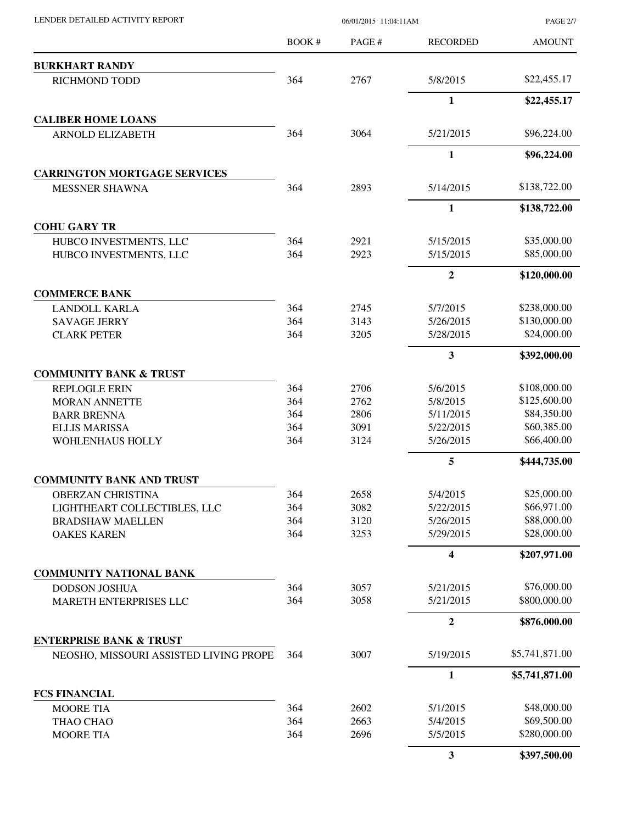|                                        | <b>BOOK#</b> | PAGE# | <b>RECORDED</b>         | <b>AMOUNT</b>  |
|----------------------------------------|--------------|-------|-------------------------|----------------|
| <b>BURKHART RANDY</b>                  |              |       |                         |                |
| RICHMOND TODD                          | 364          | 2767  | 5/8/2015                | \$22,455.17    |
|                                        |              |       | 1                       | \$22,455.17    |
| <b>CALIBER HOME LOANS</b>              |              |       |                         |                |
| <b>ARNOLD ELIZABETH</b>                | 364          | 3064  | 5/21/2015               | \$96,224.00    |
|                                        |              |       | 1                       | \$96,224.00    |
| <b>CARRINGTON MORTGAGE SERVICES</b>    |              |       |                         |                |
| <b>MESSNER SHAWNA</b>                  | 364          | 2893  | 5/14/2015               | \$138,722.00   |
|                                        |              |       | 1                       | \$138,722.00   |
| <b>COHU GARY TR</b>                    |              |       |                         |                |
| HUBCO INVESTMENTS, LLC                 | 364          | 2921  | 5/15/2015               | \$35,000.00    |
| HUBCO INVESTMENTS, LLC                 | 364          | 2923  | 5/15/2015               | \$85,000.00    |
|                                        |              |       | $\boldsymbol{2}$        | \$120,000.00   |
| <b>COMMERCE BANK</b>                   |              |       |                         |                |
| <b>LANDOLL KARLA</b>                   | 364          | 2745  | 5/7/2015                | \$238,000.00   |
| <b>SAVAGE JERRY</b>                    | 364          | 3143  | 5/26/2015               | \$130,000.00   |
| <b>CLARK PETER</b>                     | 364          | 3205  | 5/28/2015               | \$24,000.00    |
|                                        |              |       | $\overline{\mathbf{3}}$ | \$392,000.00   |
| <b>COMMUNITY BANK &amp; TRUST</b>      |              |       |                         |                |
| <b>REPLOGLE ERIN</b>                   | 364          | 2706  | 5/6/2015                | \$108,000.00   |
| <b>MORAN ANNETTE</b>                   | 364          | 2762  | 5/8/2015                | \$125,600.00   |
| <b>BARR BRENNA</b>                     | 364          | 2806  | 5/11/2015               | \$84,350.00    |
| <b>ELLIS MARISSA</b>                   | 364          | 3091  | 5/22/2015               | \$60,385.00    |
| WOHLENHAUS HOLLY                       | 364          | 3124  | 5/26/2015               | \$66,400.00    |
|                                        |              |       | 5                       | \$444,735.00   |
| <b>COMMUNITY BANK AND TRUST</b>        |              |       |                         |                |
| <b>OBERZAN CHRISTINA</b>               | 364          | 2658  | 5/4/2015                | \$25,000.00    |
| LIGHTHEART COLLECTIBLES, LLC           | 364          | 3082  | 5/22/2015               | \$66,971.00    |
| <b>BRADSHAW MAELLEN</b>                | 364          | 3120  | 5/26/2015               | \$88,000.00    |
| <b>OAKES KAREN</b>                     | 364          | 3253  | 5/29/2015               | \$28,000.00    |
|                                        |              |       | 4                       | \$207,971.00   |
| <b>COMMUNITY NATIONAL BANK</b>         |              |       |                         |                |
| <b>DODSON JOSHUA</b>                   | 364          | 3057  | 5/21/2015               | \$76,000.00    |
| MARETH ENTERPRISES LLC                 | 364          | 3058  | 5/21/2015               | \$800,000.00   |
|                                        |              |       | $\overline{2}$          | \$876,000.00   |
| <b>ENTERPRISE BANK &amp; TRUST</b>     |              |       |                         |                |
| NEOSHO, MISSOURI ASSISTED LIVING PROPE | 364          | 3007  | 5/19/2015               | \$5,741,871.00 |
|                                        |              |       | 1                       | \$5,741,871.00 |
| <b>FCS FINANCIAL</b>                   |              |       |                         |                |
| <b>MOORE TIA</b>                       | 364          | 2602  | 5/1/2015                | \$48,000.00    |
| THAO CHAO                              | 364          | 2663  | 5/4/2015                | \$69,500.00    |
| <b>MOORE TIA</b>                       | 364          | 2696  | 5/5/2015                | \$280,000.00   |
|                                        |              |       | 3                       | \$397,500.00   |

LENDER DETAILED ACTIVITY REPORT 06/01/2015 11:04:11AM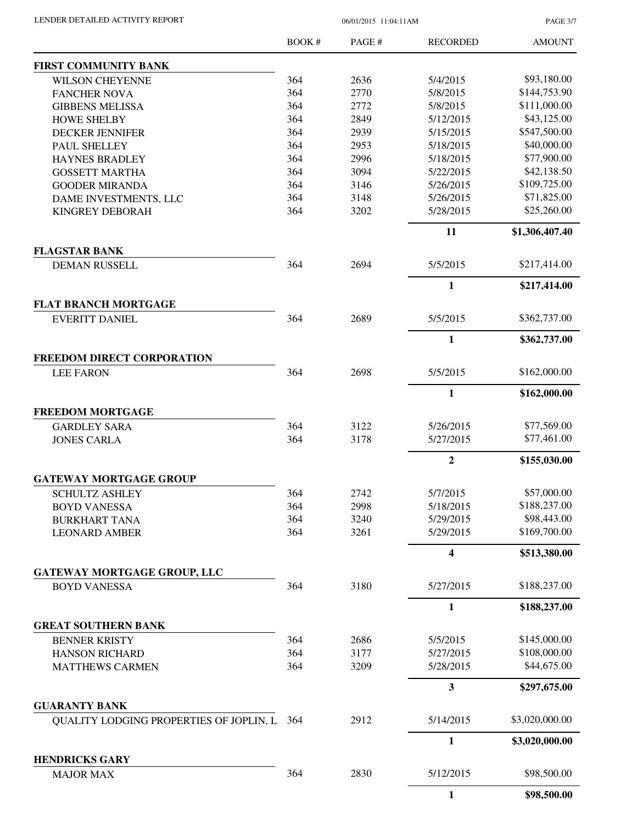| LENDER DETAILED ACTIVITY REPORT |  |
|---------------------------------|--|
|                                 |  |

06/01/2015 11:04:11AM

PAGE 3/7

|                                                           | BOOK # | PAGE # | <b>RECORDED</b>         | <b>AMOUNT</b>  |
|-----------------------------------------------------------|--------|--------|-------------------------|----------------|
| <b>FIRST COMMUNITY BANK</b>                               |        |        |                         |                |
| <b>WILSON CHEYENNE</b>                                    | 364    | 2636   | 5/4/2015                | \$93,180.00    |
| <b>FANCHER NOVA</b>                                       | 364    | 2770   | 5/8/2015                | \$144,753.90   |
| <b>GIBBENS MELISSA</b>                                    | 364    | 2772   | 5/8/2015                | \$111,000.00   |
| <b>HOWE SHELBY</b>                                        | 364    | 2849   | 5/12/2015               | \$43,125.00    |
| <b>DECKER JENNIFER</b>                                    | 364    | 2939   | 5/15/2015               | \$547,500.00   |
| PAUL SHELLEY                                              | 364    | 2953   | 5/18/2015               | \$40,000.00    |
| <b>HAYNES BRADLEY</b>                                     | 364    | 2996   | 5/18/2015               | \$77,900.00    |
| <b>GOSSETT MARTHA</b>                                     | 364    | 3094   | 5/22/2015               | \$42,138.50    |
| <b>GOODER MIRANDA</b>                                     | 364    | 3146   | 5/26/2015               | \$109,725.00   |
| DAME INVESTMENTS, LLC                                     | 364    | 3148   | 5/26/2015               | \$71,825.00    |
| <b>KINGREY DEBORAH</b>                                    | 364    | 3202   | 5/28/2015               | \$25,260.00    |
|                                                           |        |        | 11                      | \$1,306,407.40 |
| <b>FLAGSTAR BANK</b>                                      |        |        |                         |                |
| DEMAN RUSSELL                                             | 364    | 2694   | 5/5/2015                | \$217,414.00   |
|                                                           |        |        | $\mathbf{1}$            | \$217,414.00   |
| <b>FLAT BRANCH MORTGAGE</b>                               |        |        |                         |                |
| <b>EVERITT DANIEL</b>                                     | 364    | 2689   | 5/5/2015                | \$362,737.00   |
|                                                           |        |        | $\mathbf{1}$            | \$362,737.00   |
| FREEDOM DIRECT CORPORATION<br><b>LEE FARON</b>            | 364    | 2698   | 5/5/2015                | \$162,000.00   |
|                                                           |        |        |                         |                |
|                                                           |        |        | $\mathbf{1}$            | \$162,000.00   |
| <b>FREEDOM MORTGAGE</b>                                   |        |        |                         |                |
| <b>GARDLEY SARA</b>                                       | 364    | 3122   | 5/26/2015               | \$77,569.00    |
| <b>JONES CARLA</b>                                        | 364    | 3178   | 5/27/2015               | \$77,461.00    |
|                                                           |        |        | $\overline{2}$          | \$155,030.00   |
| <b>GATEWAY MORTGAGE GROUP</b>                             |        |        |                         |                |
| <b>SCHULTZ ASHLEY</b>                                     | 364    | 2742   | 5/7/2015                | \$57,000.00    |
| <b>BOYD VANESSA</b>                                       | 364    | 2998   | 5/18/2015               | \$188,237.00   |
| <b>BURKHART TANA</b>                                      | 364    | 3240   | 5/29/2015               | \$98,443.00    |
| <b>LEONARD AMBER</b>                                      | 364    | 3261   | 5/29/2015               | \$169,700.00   |
|                                                           |        |        | $\overline{\mathbf{4}}$ | \$513,380.00   |
| <b>GATEWAY MORTGAGE GROUP, LLC</b><br><b>BOYD VANESSA</b> | 364    | 3180   | 5/27/2015               | \$188,237.00   |
|                                                           |        |        |                         |                |
|                                                           |        |        | $\mathbf{1}$            | \$188,237.00   |
| <b>GREAT SOUTHERN BANK</b>                                |        |        |                         |                |
| <b>BENNER KRISTY</b>                                      | 364    | 2686   | 5/5/2015                | \$145,000.00   |
| <b>HANSON RICHARD</b>                                     | 364    | 3177   | 5/27/2015               | \$108,000.00   |
| <b>MATTHEWS CARMEN</b>                                    | 364    | 3209   | 5/28/2015               | \$44,675.00    |
|                                                           |        |        | $\mathbf{3}$            | \$297,675.00   |
| <b>GUARANTY BANK</b>                                      |        |        |                         | \$3,020,000.00 |
| QUALITY LODGING PROPERTIES OF JOPLIN, L                   | 364    | 2912   | 5/14/2015               |                |
|                                                           |        |        | $\mathbf{1}$            | \$3,020,000.00 |
| <b>HENDRICKS GARY</b><br><b>MAJOR MAX</b>                 | 364    | 2830   | 5/12/2015               | \$98,500.00    |
|                                                           |        |        | $\mathbf{1}$            | \$98,500.00    |
|                                                           |        |        |                         |                |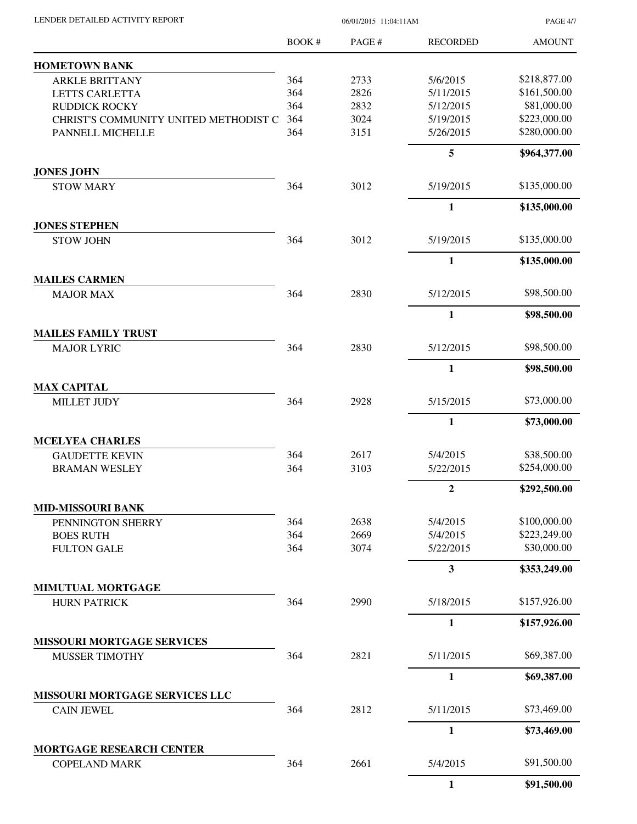PAGE 4/7

|                                                         | BOOK# | PAGE# | <b>RECORDED</b>         | <b>AMOUNT</b> |
|---------------------------------------------------------|-------|-------|-------------------------|---------------|
| <b>HOMETOWN BANK</b>                                    |       |       |                         |               |
| <b>ARKLE BRITTANY</b>                                   | 364   | 2733  | 5/6/2015                | \$218,877.00  |
| LETTS CARLETTA                                          | 364   | 2826  | 5/11/2015               | \$161,500.00  |
| <b>RUDDICK ROCKY</b>                                    | 364   | 2832  | 5/12/2015               | \$81,000.00   |
| CHRIST'S COMMUNITY UNITED METHODIST C                   | 364   | 3024  | 5/19/2015               | \$223,000.00  |
| PANNELL MICHELLE                                        | 364   | 3151  | 5/26/2015               | \$280,000.00  |
|                                                         |       |       | 5                       | \$964,377.00  |
| <b>JONES JOHN</b><br><b>STOW MARY</b>                   | 364   | 3012  | 5/19/2015               | \$135,000.00  |
|                                                         |       |       | $\mathbf{1}$            | \$135,000.00  |
| <b>JONES STEPHEN</b>                                    |       |       |                         |               |
| <b>STOW JOHN</b>                                        | 364   | 3012  | 5/19/2015               | \$135,000.00  |
|                                                         |       |       | 1                       | \$135,000.00  |
| <b>MAILES CARMEN</b>                                    |       |       |                         |               |
| <b>MAJOR MAX</b>                                        | 364   | 2830  | 5/12/2015               | \$98,500.00   |
|                                                         |       |       | $\mathbf{1}$            | \$98,500.00   |
| <b>MAILES FAMILY TRUST</b><br><b>MAJOR LYRIC</b>        | 364   | 2830  | 5/12/2015               | \$98,500.00   |
|                                                         |       |       | 1                       | \$98,500.00   |
| <b>MAX CAPITAL</b>                                      |       |       |                         |               |
| <b>MILLET JUDY</b>                                      | 364   | 2928  | 5/15/2015               | \$73,000.00   |
|                                                         |       |       | 1                       | \$73,000.00   |
| <b>MCELYEA CHARLES</b>                                  |       |       |                         |               |
| <b>GAUDETTE KEVIN</b>                                   | 364   | 2617  | 5/4/2015                | \$38,500.00   |
| <b>BRAMAN WESLEY</b>                                    | 364   | 3103  | 5/22/2015               | \$254,000.00  |
|                                                         |       |       | $\boldsymbol{2}$        | \$292,500.00  |
| <b>MID-MISSOURI BANK</b>                                |       |       |                         |               |
| PENNINGTON SHERRY                                       | 364   | 2638  | 5/4/2015                | \$100,000.00  |
| <b>BOES RUTH</b>                                        | 364   | 2669  | 5/4/2015                | \$223,249.00  |
| <b>FULTON GALE</b>                                      | 364   | 3074  | 5/22/2015               | \$30,000.00   |
|                                                         |       |       | $\overline{\mathbf{3}}$ | \$353,249.00  |
| MIMUTUAL MORTGAGE<br><b>HURN PATRICK</b>                | 364   | 2990  | 5/18/2015               | \$157,926.00  |
|                                                         |       |       | 1                       | \$157,926.00  |
| <b>MISSOURI MORTGAGE SERVICES</b>                       |       |       |                         |               |
| MUSSER TIMOTHY                                          | 364   | 2821  | 5/11/2015               | \$69,387.00   |
|                                                         |       |       | $\mathbf{1}$            | \$69,387.00   |
| MISSOURI MORTGAGE SERVICES LLC                          |       |       |                         |               |
| <b>CAIN JEWEL</b>                                       | 364   | 2812  | 5/11/2015               | \$73,469.00   |
|                                                         |       |       | 1                       | \$73,469.00   |
| <b>MORTGAGE RESEARCH CENTER</b><br><b>COPELAND MARK</b> | 364   | 2661  | 5/4/2015                | \$91,500.00   |
|                                                         |       |       | $\mathbf{1}$            | \$91,500.00   |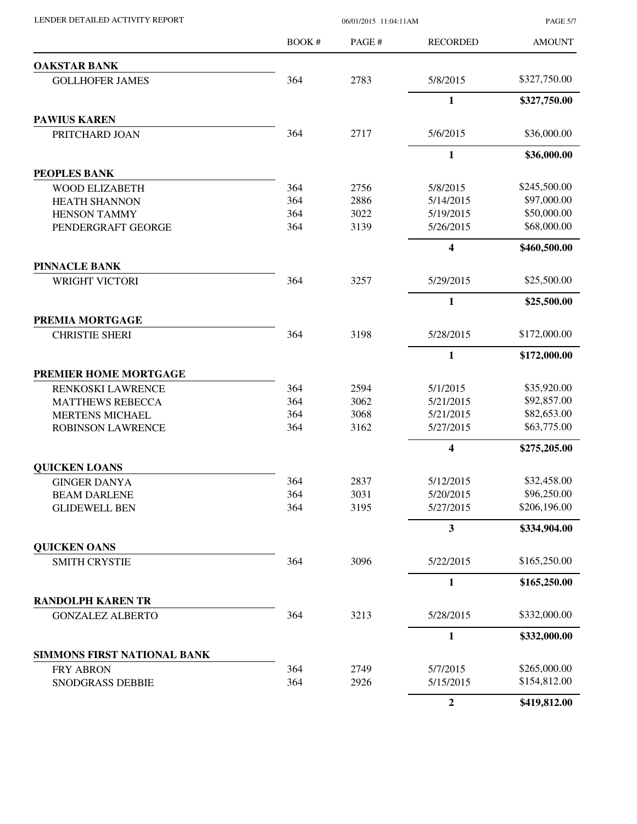| LENDER DETAILED ACTIVITY REPORT |  |
|---------------------------------|--|

06/01/2015 11:04:11AM

PAGE 5/7

|                                                     | BOOK # | PAGE # | <b>RECORDED</b>         | <b>AMOUNT</b> |
|-----------------------------------------------------|--------|--------|-------------------------|---------------|
| <b>OAKSTAR BANK</b>                                 |        |        |                         |               |
| <b>GOLLHOFER JAMES</b>                              | 364    | 2783   | 5/8/2015                | \$327,750.00  |
|                                                     |        |        | 1                       | \$327,750.00  |
| <b>PAWIUS KAREN</b>                                 |        |        |                         |               |
| PRITCHARD JOAN                                      | 364    | 2717   | 5/6/2015                | \$36,000.00   |
|                                                     |        |        | 1                       | \$36,000.00   |
| <b>PEOPLES BANK</b>                                 |        |        |                         |               |
| <b>WOOD ELIZABETH</b>                               | 364    | 2756   | 5/8/2015                | \$245,500.00  |
| <b>HEATH SHANNON</b>                                | 364    | 2886   | 5/14/2015               | \$97,000.00   |
| <b>HENSON TAMMY</b>                                 | 364    | 3022   | 5/19/2015               | \$50,000.00   |
| PENDERGRAFT GEORGE                                  | 364    | 3139   | 5/26/2015               | \$68,000.00   |
|                                                     |        |        | 4                       | \$460,500.00  |
| <b>PINNACLE BANK</b>                                |        |        |                         |               |
| <b>WRIGHT VICTORI</b>                               | 364    | 3257   | 5/29/2015               | \$25,500.00   |
|                                                     |        |        | $\mathbf{1}$            | \$25,500.00   |
| PREMIA MORTGAGE                                     |        |        |                         | \$172,000.00  |
| <b>CHRISTIE SHERI</b>                               | 364    | 3198   | 5/28/2015               |               |
|                                                     |        |        | 1                       | \$172,000.00  |
| PREMIER HOME MORTGAGE                               |        |        |                         |               |
| RENKOSKI LAWRENCE                                   | 364    | 2594   | 5/1/2015                | \$35,920.00   |
| <b>MATTHEWS REBECCA</b>                             | 364    | 3062   | 5/21/2015               | \$92,857.00   |
| <b>MERTENS MICHAEL</b>                              | 364    | 3068   | 5/21/2015               | \$82,653.00   |
| <b>ROBINSON LAWRENCE</b>                            | 364    | 3162   | 5/27/2015               | \$63,775.00   |
|                                                     |        |        | $\overline{\mathbf{4}}$ | \$275,205.00  |
| <b>QUICKEN LOANS</b>                                |        |        |                         |               |
| <b>GINGER DANYA</b>                                 | 364    | 2837   | 5/12/2015               | \$32,458.00   |
| <b>BEAM DARLENE</b>                                 | 364    | 3031   | 5/20/2015               | \$96,250.00   |
| <b>GLIDEWELL BEN</b>                                | 364    | 3195   | 5/27/2015               | \$206,196.00  |
|                                                     |        |        | 3                       | \$334,904.00  |
| <b>QUICKEN OANS</b>                                 |        |        |                         |               |
| <b>SMITH CRYSTIE</b>                                | 364    | 3096   | 5/22/2015               | \$165,250.00  |
|                                                     |        |        | $\mathbf{1}$            | \$165,250.00  |
| <b>RANDOLPH KAREN TR</b><br><b>GONZALEZ ALBERTO</b> | 364    | 3213   | 5/28/2015               | \$332,000.00  |
|                                                     |        |        |                         |               |
| SIMMONS FIRST NATIONAL BANK                         |        |        | 1                       | \$332,000.00  |
| <b>FRY ABRON</b>                                    | 364    | 2749   | 5/7/2015                | \$265,000.00  |
| SNODGRASS DEBBIE                                    | 364    | 2926   | 5/15/2015               | \$154,812.00  |
|                                                     |        |        | $\overline{2}$          | \$419,812.00  |
|                                                     |        |        |                         |               |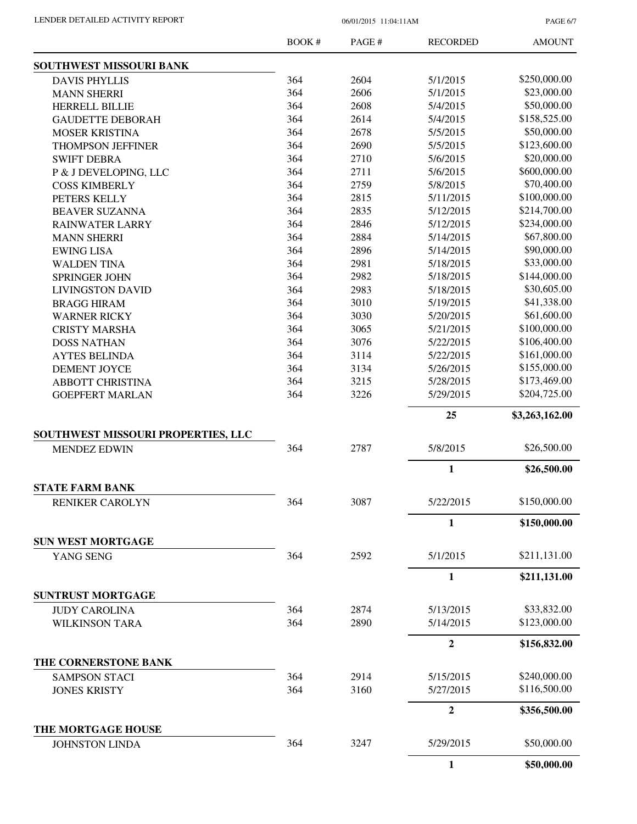LENDER DETAILED ACTIVITY REPORT 06/01/2015 11:04:11AM

PAGE 6/7

|                                             | BOOK # | PAGE# | <b>RECORDED</b>  | <b>AMOUNT</b>  |
|---------------------------------------------|--------|-------|------------------|----------------|
| SOUTHWEST MISSOURI BANK                     |        |       |                  |                |
| <b>DAVIS PHYLLIS</b>                        | 364    | 2604  | 5/1/2015         | \$250,000.00   |
| <b>MANN SHERRI</b>                          | 364    | 2606  | 5/1/2015         | \$23,000.00    |
| <b>HERRELL BILLIE</b>                       | 364    | 2608  | 5/4/2015         | \$50,000.00    |
| <b>GAUDETTE DEBORAH</b>                     | 364    | 2614  | 5/4/2015         | \$158,525.00   |
| <b>MOSER KRISTINA</b>                       | 364    | 2678  | 5/5/2015         | \$50,000.00    |
| <b>THOMPSON JEFFINER</b>                    | 364    | 2690  | 5/5/2015         | \$123,600.00   |
| <b>SWIFT DEBRA</b>                          | 364    | 2710  | 5/6/2015         | \$20,000.00    |
| P & J DEVELOPING, LLC                       | 364    | 2711  | 5/6/2015         | \$600,000.00   |
| <b>COSS KIMBERLY</b>                        | 364    | 2759  | 5/8/2015         | \$70,400.00    |
| PETERS KELLY                                | 364    | 2815  | 5/11/2015        | \$100,000.00   |
| <b>BEAVER SUZANNA</b>                       | 364    | 2835  | 5/12/2015        | \$214,700.00   |
| <b>RAINWATER LARRY</b>                      | 364    | 2846  | 5/12/2015        | \$234,000.00   |
| <b>MANN SHERRI</b>                          | 364    | 2884  | 5/14/2015        | \$67,800.00    |
| <b>EWING LISA</b>                           | 364    | 2896  | 5/14/2015        | \$90,000.00    |
| <b>WALDEN TINA</b>                          | 364    | 2981  | 5/18/2015        | \$33,000.00    |
| <b>SPRINGER JOHN</b>                        | 364    | 2982  | 5/18/2015        | \$144,000.00   |
| <b>LIVINGSTON DAVID</b>                     | 364    | 2983  | 5/18/2015        | \$30,605.00    |
| <b>BRAGG HIRAM</b>                          | 364    | 3010  | 5/19/2015        | \$41,338.00    |
| <b>WARNER RICKY</b>                         | 364    | 3030  | 5/20/2015        | \$61,600.00    |
| <b>CRISTY MARSHA</b>                        | 364    | 3065  | 5/21/2015        | \$100,000.00   |
| <b>DOSS NATHAN</b>                          | 364    | 3076  | 5/22/2015        | \$106,400.00   |
| <b>AYTES BELINDA</b>                        | 364    | 3114  | 5/22/2015        | \$161,000.00   |
| <b>DEMENT JOYCE</b>                         | 364    | 3134  | 5/26/2015        | \$155,000.00   |
| <b>ABBOTT CHRISTINA</b>                     | 364    | 3215  | 5/28/2015        | \$173,469.00   |
| <b>GOEPFERT MARLAN</b>                      | 364    | 3226  | 5/29/2015        | \$204,725.00   |
|                                             |        |       | 25               | \$3,263,162.00 |
| SOUTHWEST MISSOURI PROPERTIES, LLC          |        |       |                  |                |
| <b>MENDEZ EDWIN</b>                         | 364    | 2787  | 5/8/2015         | \$26,500.00    |
|                                             |        |       | 1                | \$26,500.00    |
| <b>STATE FARM BANK</b>                      | 364    | 3087  | 5/22/2015        | \$150,000.00   |
| <b>RENIKER CAROLYN</b>                      |        |       |                  |                |
| <b>SUN WEST MORTGAGE</b>                    |        |       | 1                | \$150,000.00   |
| YANG SENG                                   | 364    | 2592  | 5/1/2015         | \$211,131.00   |
|                                             |        |       | 1                | \$211,131.00   |
| <b>SUNTRUST MORTGAGE</b>                    |        |       |                  |                |
| <b>JUDY CAROLINA</b>                        | 364    | 2874  | 5/13/2015        | \$33,832.00    |
| <b>WILKINSON TARA</b>                       | 364    | 2890  | 5/14/2015        | \$123,000.00   |
|                                             |        |       | $\boldsymbol{2}$ | \$156,832.00   |
| THE CORNERSTONE BANK                        |        |       |                  |                |
| <b>SAMPSON STACI</b>                        | 364    | 2914  | 5/15/2015        | \$240,000.00   |
| <b>JONES KRISTY</b>                         | 364    | 3160  | 5/27/2015        | \$116,500.00   |
|                                             |        |       | $\boldsymbol{2}$ | \$356,500.00   |
| THE MORTGAGE HOUSE<br><b>JOHNSTON LINDA</b> | 364    | 3247  | 5/29/2015        | \$50,000.00    |
|                                             |        |       | $\mathbf{1}$     | \$50,000.00    |